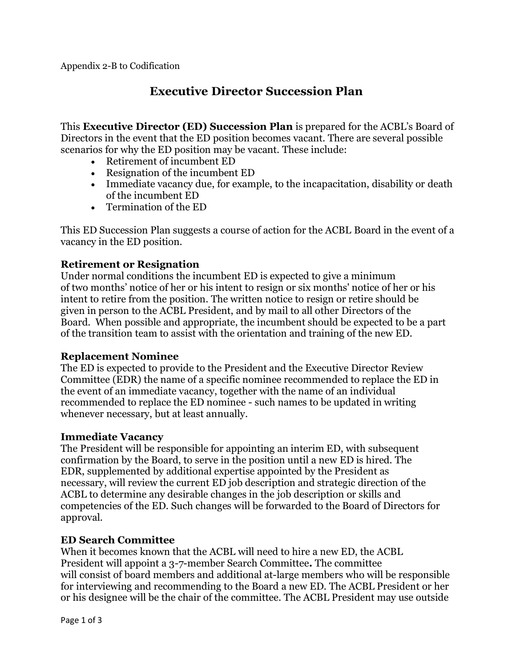# **Executive Director Succession Plan**

This **Executive Director (ED) Succession Plan** is prepared for the ACBL's Board of Directors in the event that the ED position becomes vacant. There are several possible scenarios for why the ED position may be vacant. These include:

- Retirement of incumbent ED
- Resignation of the incumbent ED
- Immediate vacancy due, for example, to the incapacitation, disability or death of the incumbent ED
- Termination of the ED

This ED Succession Plan suggests a course of action for the ACBL Board in the event of a vacancy in the ED position.

### **Retirement or Resignation**

Under normal conditions the incumbent ED is expected to give a minimum of two months' notice of her or his intent to resign or six months' notice of her or his intent to retire from the position. The written notice to resign or retire should be given in person to the ACBL President, and by mail to all other Directors of the Board. When possible and appropriate, the incumbent should be expected to be a part of the transition team to assist with the orientation and training of the new ED.

#### **Replacement Nominee**

The ED is expected to provide to the President and the Executive Director Review Committee (EDR) the name of a specific nominee recommended to replace the ED in the event of an immediate vacancy, together with the name of an individual recommended to replace the ED nominee - such names to be updated in writing whenever necessary, but at least annually.

#### **Immediate Vacancy**

The President will be responsible for appointing an interim ED, with subsequent confirmation by the Board, to serve in the position until a new ED is hired. The EDR, supplemented by additional expertise appointed by the President as necessary, will review the current ED job description and strategic direction of the ACBL to determine any desirable changes in the job description or skills and competencies of the ED. Such changes will be forwarded to the Board of Directors for approval.

#### **ED Search Committee**

When it becomes known that the ACBL will need to hire a new ED, the ACBL President will appoint a 3-7-member Search Committee**.** The committee will consist of board members and additional at-large members who will be responsible for interviewing and recommending to the Board a new ED. The ACBL President or her or his designee will be the chair of the committee. The ACBL President may use outside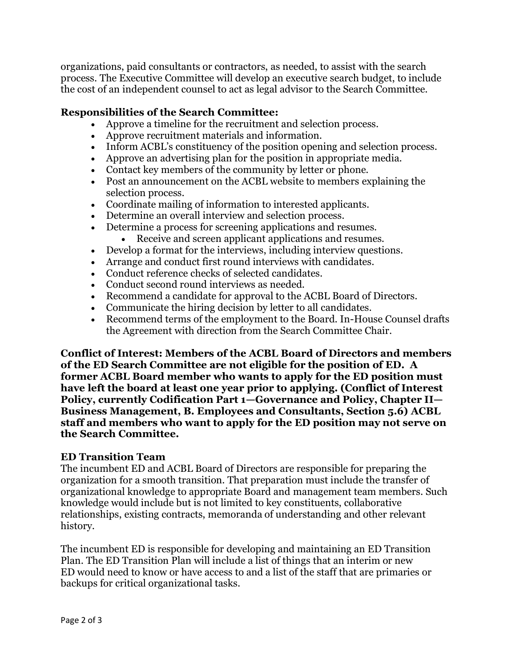organizations, paid consultants or contractors, as needed, to assist with the search process. The Executive Committee will develop an executive search budget, to include the cost of an independent counsel to act as legal advisor to the Search Committee.

## **Responsibilities of the Search Committee:**

- Approve a timeline for the recruitment and selection process.
- Approve recruitment materials and information.
- Inform ACBL's constituency of the position opening and selection process.
- Approve an advertising plan for the position in appropriate media.
- Contact key members of the community by letter or phone.
- Post an announcement on the ACBL website to members explaining the selection process.
- Coordinate mailing of information to interested applicants.
- Determine an overall interview and selection process.
- Determine a process for screening applications and resumes.
	- Receive and screen applicant applications and resumes.
- Develop a format for the interviews, including interview questions.
- Arrange and conduct first round interviews with candidates.
- Conduct reference checks of selected candidates.
- Conduct second round interviews as needed.
- Recommend a candidate for approval to the ACBL Board of Directors.
- Communicate the hiring decision by letter to all candidates.
- Recommend terms of the employment to the Board. In-House Counsel drafts the Agreement with direction from the Search Committee Chair.

**Conflict of Interest: Members of the ACBL Board of Directors and members of the ED Search Committee are not eligible for the position of ED. A former ACBL Board member who wants to apply for the ED position must have left the board at least one year prior to applying. (Conflict of Interest Policy, currently Codification Part 1—Governance and Policy, Chapter II— Business Management, B. Employees and Consultants, Section 5.6) ACBL staff and members who want to apply for the ED position may not serve on the Search Committee.**

#### **ED Transition Team**

The incumbent ED and ACBL Board of Directors are responsible for preparing the organization for a smooth transition. That preparation must include the transfer of organizational knowledge to appropriate Board and management team members. Such knowledge would include but is not limited to key constituents, collaborative relationships, existing contracts, memoranda of understanding and other relevant history.

The incumbent ED is responsible for developing and maintaining an ED Transition Plan. The ED Transition Plan will include a list of things that an interim or new ED would need to know or have access to and a list of the staff that are primaries or backups for critical organizational tasks.